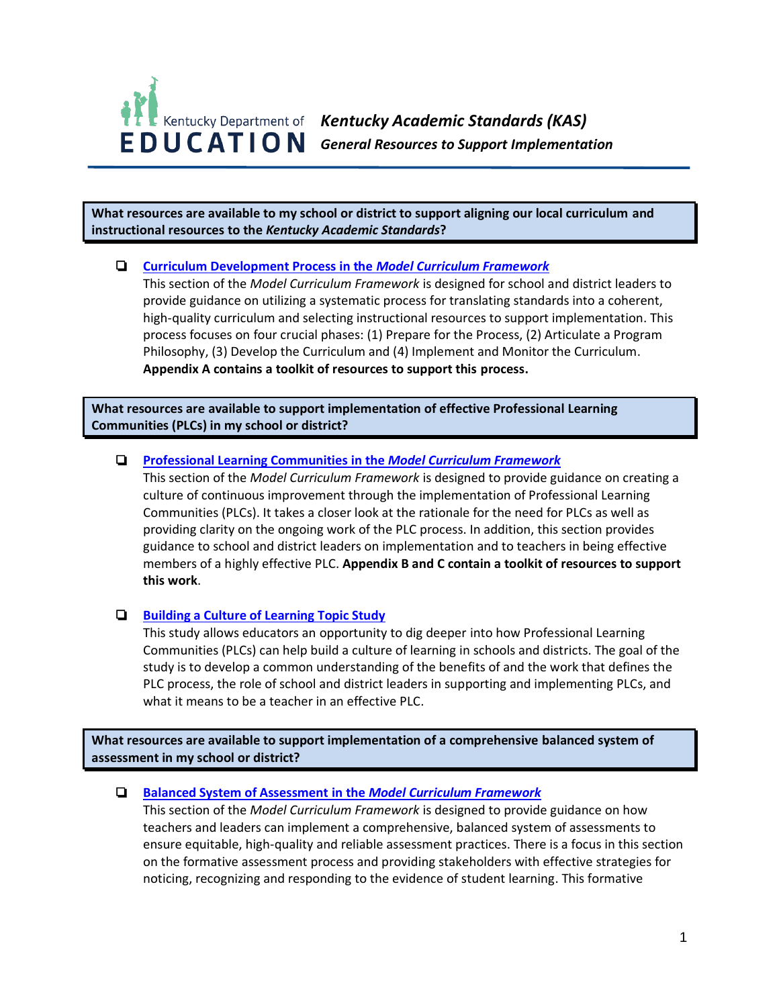

**What resources are available to my school or district to support aligning our local curriculum and instructional resources to the** *Kentucky Academic Standards***?**

## ❏ **[Curriculum Development Process in the](https://education.ky.gov/curriculum/standards/kyacadstand/Documents/Model_Curriculum_Framework.pdf)** *Model Curriculum Framework*

This section of the *Model Curriculum Framework* is designed for school and district leaders to provide guidance on utilizing a systematic process for translating standards into a coherent, high-quality curriculum and selecting instructional resources to support implementation. This process focuses on four crucial phases: (1) Prepare for the Process, (2) Articulate a Program Philosophy, (3) Develop the Curriculum and (4) Implement and Monitor the Curriculum. **Appendix A contains a toolkit of resources to support this process.**

**What resources are available to support implementation of effective Professional Learning Communities (PLCs) in my school or district?**

## ❏ **[Professional Learning Communities](https://education.ky.gov/curriculum/standards/kyacadstand/Documents/Model_Curriculum_Framework.pdf) in the** *Model Curriculum Framework*

This section of the *Model Curriculum Framework* is designed to provide guidance on creating a culture of continuous improvement through the implementation of Professional Learning Communities (PLCs). It takes a closer look at the rationale for the need for PLCs as well as providing clarity on the ongoing work of the PLC process. In addition, this section provides guidance to school and district leaders on implementation and to teachers in being effective members of a highly effective PLC. **Appendix B and C contain a toolkit of resources to support this work**.

# ❏ **[Building a Culture of Learning Topic Study](https://education.ky.gov/curriculum/standards/kyacadstand/Documents/Building_a_Culture_of_Learning_Topic_Study_Learning_Plan_and_Resources.pdf)**

This study allows educators an opportunity to dig deeper into how Professional Learning Communities (PLCs) can help build a culture of learning in schools and districts. The goal of the study is to develop a common understanding of the benefits of and the work that defines the PLC process, the role of school and district leaders in supporting and implementing PLCs, and what it means to be a teacher in an effective PLC.

**What resources are available to support implementation of a comprehensive balanced system of assessment in my school or district?**

## ❏ **[Balanced System of Assessment](https://education.ky.gov/curriculum/standards/kyacadstand/Documents/Model_Curriculum_Framework.pdf) in the** *Model Curriculum Framework*

This section of the *Model Curriculum Framework* is designed to provide guidance on how teachers and leaders can implement a comprehensive, balanced system of assessments to ensure equitable, high-quality and reliable assessment practices. There is a focus in this section on the formative assessment process and providing stakeholders with effective strategies for noticing, recognizing and responding to the evidence of student learning. This formative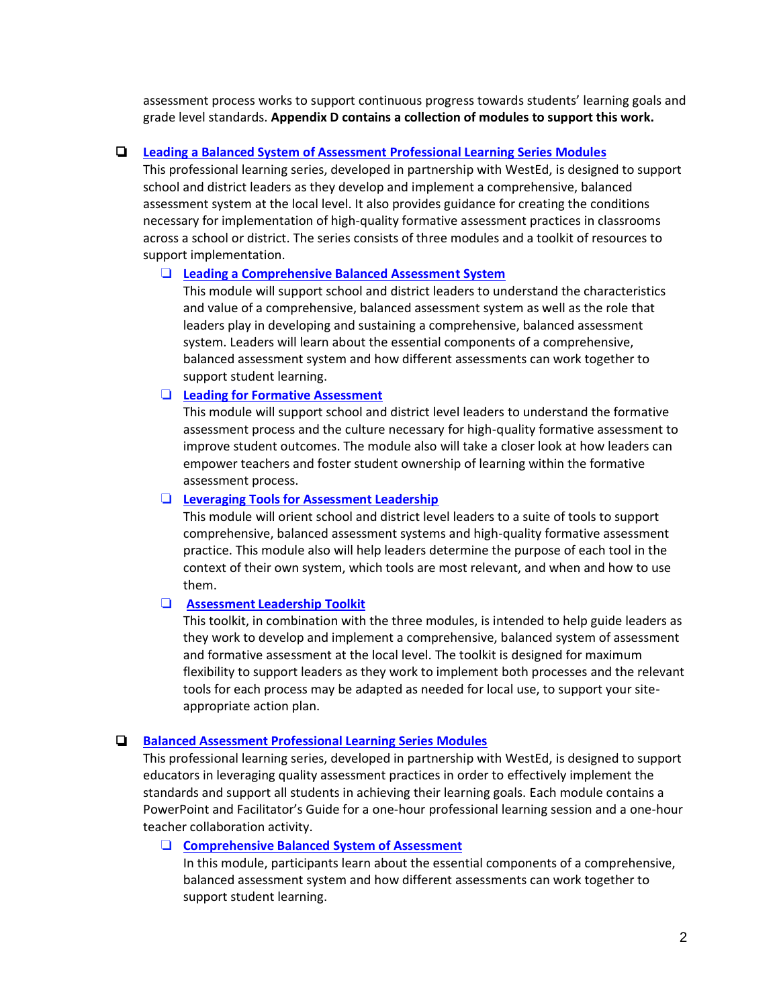assessment process works to support continuous progress towards students' learning goals and grade level standards. **Appendix D contains a collection of modules to support this work.**

## ❏ **[Leading a Balanced System of Assessment](https://kystandards.org/standards-resources/pl-mods/cdig/) Professional Learning Series Modules**

This professional learning series, developed in partnership with WestEd, is designed to support school and district leaders as they develop and implement a comprehensive, balanced assessment system at the local level. It also provides guidance for creating the conditions necessary for implementation of high-quality formative assessment practices in classrooms across a school or district. The series consists of three modules and a toolkit of resources to support implementation.

## ❏ **[Leading a Comprehensive Balanced Assessment System](https://kystandards.org/standards-resources/pl-mods/cdig/)**

This module will support school and district leaders to understand the characteristics and value of a comprehensive, balanced assessment system as well as the role that leaders play in developing and sustaining a comprehensive, balanced assessment system. Leaders will learn about the essential components of a comprehensive, balanced assessment system and how different assessments can work together to support student learning.

### ❏ **Leading for [Formative Assessment](https://kystandards.org/standards-resources/pl-mods/cdig/)**

This module will support school and district level leaders to understand the formative assessment process and the culture necessary for high-quality formative assessment to improve student outcomes. The module also will take a closer look at how leaders can empower teachers and foster student ownership of learning within the formative assessment process.

### ❏ **[Leveraging Tools for Assessment Leadership](https://kystandards.org/standards-resources/pl-mods/cdig/)**

This module will orient school and district level leaders to a suite of tools to support comprehensive, balanced assessment systems and high-quality formative assessment practice. This module also will help leaders determine the purpose of each tool in the context of their own system, which tools are most relevant, and when and how to use them.

### ❏ **[Assessment Leadership Toolkit](https://education.ky.gov/curriculum/standards/kyacadstand/Documents/KDE_Leadership_Modules_Toolkit.pdf)**

This toolkit, in combination with the three modules, is intended to help guide leaders as they work to develop and implement a comprehensive, balanced system of assessment and formative assessment at the local level. The toolkit is designed for maximum flexibility to support leaders as they work to implement both processes and the relevant tools for each process may be adapted as needed for local use, to support your siteappropriate action plan.

## ❏ **[Balanced Assessment Professional Learning Series Modules](https://kystandards.org/standards-resources/pl-mods/balanced-assessment-plms/)**

This professional learning series, developed in partnership with WestEd, is designed to support educators in leveraging quality assessment practices in order to effectively implement the standards and support all students in achieving their learning goals. Each module contains a PowerPoint and Facilitator's Guide for a one-hour professional learning session and a one-hour teacher collaboration activity.

## ❏ **[Comprehensive Balanced System of Assessment](https://education.ky.gov/curriculum/standards/kyacadstand/Documents/Model_Curriculum_Framework.pdf)**

In this module, participants learn about the essential components of a comprehensive, balanced assessment system and how different assessments can work together to support student learning.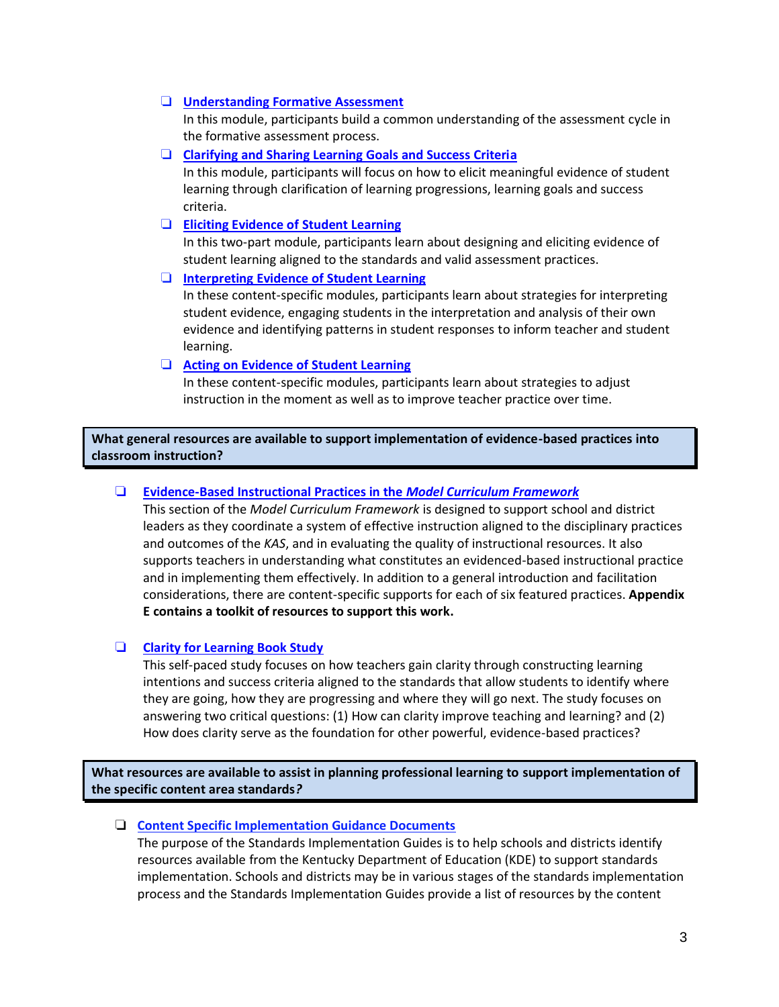## ❏ **[Understanding Formative](https://kystandards.org/standards-resources/pl-mods/balanced-assessment-plms/) Assessment**

In this module, participants build a common understanding of the assessment cycle in the formative assessment process.

❏ **[Clarifying and Sharing Learning Goals and Success Criteria](https://kystandards.org/standards-resources/pl-mods/balanced-assessment-plms/)**

In this module, participants will focus on how to elicit meaningful evidence of student learning through clarification of learning progressions, learning goals and success criteria.

### ❏ **[Eliciting Evidence of Student Learning](https://kystandards.org/standards-resources/pl-mods/balanced-assessment-plms/)**

In this two-part module, participants learn about designing and eliciting evidence of student learning aligned to the standards and valid assessment practices.

## ❏ **[Interpreting Evidence of Student Learning](https://kystandards.org/standards-resources/pl-mods/balanced-assessment-plms/)**

In these content-specific modules, participants learn about strategies for interpreting student evidence, engaging students in the interpretation and analysis of their own evidence and identifying patterns in student responses to inform teacher and student learning.

## ❏ **[Acting on Evidence of Student Learning](https://kystandards.org/standards-resources/pl-mods/balanced-assessment-plms/)**

In these content-specific modules, participants learn about strategies to adjust instruction in the moment as well as to improve teacher practice over time.

**What general resources are available to support implementation of evidence-based practices into classroom instruction?**

## ❏ **Evidence-Based Instructional Practices in the** *Model Curriculum Framework*

This section of the *Model Curriculum Framework* is designed to support school and district leaders as they coordinate a system of effective instruction aligned to the disciplinary practices and outcomes of the *KAS*, and in evaluating the quality of instructional resources. It also supports teachers in understanding what constitutes an evidenced-based instructional practice and in implementing them effectively. In addition to a general introduction and facilitation considerations, there are content-specific supports for each of six featured practices. **Appendix E contains a toolkit of resources to support this work.**

## ❏ **[Clarity for Learning Book Study](https://education.ky.gov/curriculum/standards/kyacadstand/Documents/Clarity_for_Learning_Book_Study_Learning_Plan_and_Resources.pdf)**

This self-paced study focuses on how teachers gain clarity through constructing learning intentions and success criteria aligned to the standards that allow students to identify where they are going, how they are progressing and where they will go next. The study focuses on answering two critical questions: (1) How can clarity improve teaching and learning? and (2) How does clarity serve as the foundation for other powerful, evidence-based practices?

**What resources are available to assist in planning professional learning to support implementation of the specific content area standards***?* 

### ❏ **[Content Specific Implementation Guidance Documents](https://education.ky.gov/curriculum/standards/kyacadstand/Documents/Breaking_Down_a_Mathematics_Standard.pdf)**

The purpose of the Standards Implementation Guides is to help schools and districts identify resources available from the Kentucky Department of Education (KDE) to support standards implementation. Schools and districts may be in various stages of the standards implementation process and the Standards Implementation Guides provide a list of resources by the content